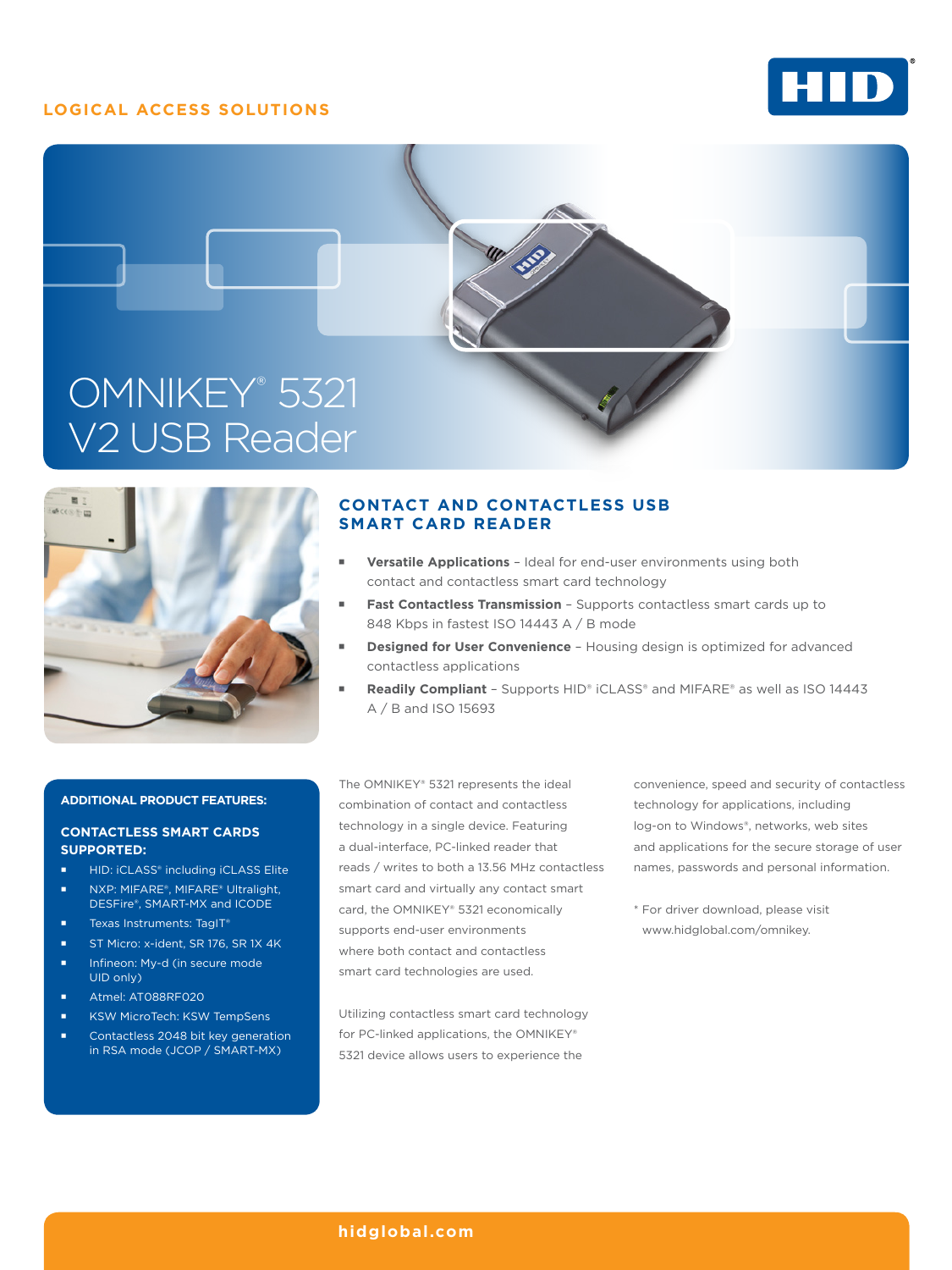## **LOGICAL ACCESS SOLUTIONS**







# **CONTACT AND CONTACTLESS USB SMART CARD READER**

- **Versatile Applications** Ideal for end-user environments using both contact and contactless smart card technology
- **Fast Contactless Transmission** Supports contactless smart cards up to 848 Kbps in fastest ISO 14443 A / B mode
- **Designed for User Convenience** Housing design is optimized for advanced contactless applications
- **Readily Compliant** Supports HID® iCLASS® and MIFARE® as well as ISO 14443 A / B and ISO 15693

#### **ADDITIONAL PRODUCT FEATURES:**

### **CONTACTLESS SMART CARDS SUPPORTED:**

- HID: iCLASS® including iCLASS Elite
- NXP: MIFARE®, MIFARE® Ultralight, DESFire®, SMART-MX and ICODE
- Texas Instruments: TagIT®
- ST Micro: x-ident, SR 176, SR 1X 4K
- Infineon: My-d (in secure mode UID only)
- Atmel: AT088RF020
- KSW MicroTech: KSW TempSens
- Contactless 2048 bit key generation in RSA mode (JCOP / SMART-MX)

The OMNIKEY® 5321 represents the ideal combination of contact and contactless technology in a single device. Featuring a dual-interface, PC-linked reader that reads / writes to both a 13.56 MHz contactless smart card and virtually any contact smart card, the OMNIKEY® 5321 economically supports end-user environments where both contact and contactless smart card technologies are used.

Utilizing contactless smart card technology for PC-linked applications, the OMNIKEY® 5321 device allows users to experience the

convenience, speed and security of contactless technology for applications, including log-on to Windows®, networks, web sites and applications for the secure storage of user names, passwords and personal information.

\* For driver download, please visit www.hidglobal.com/omnikey.